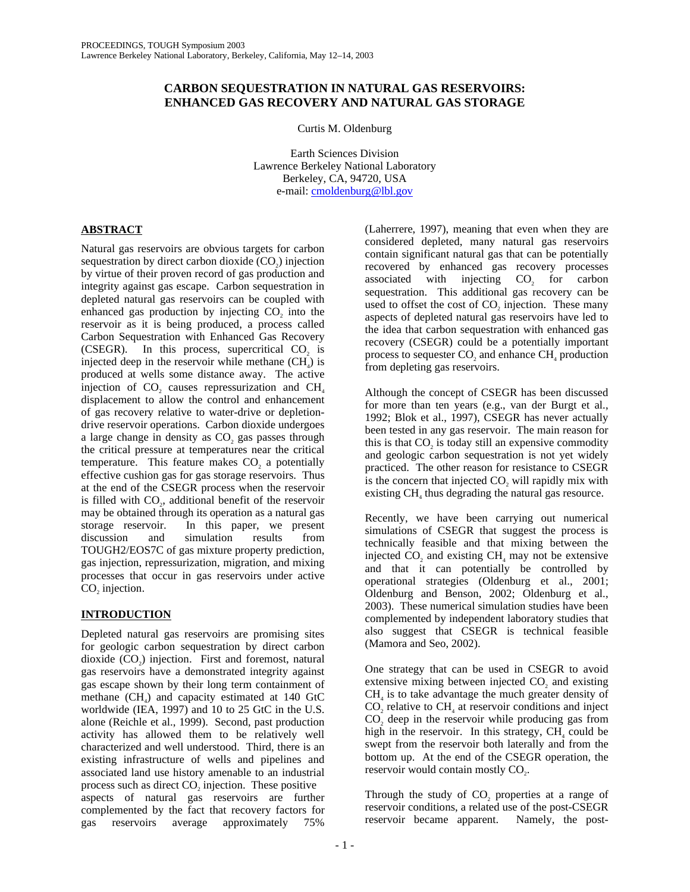# **CARBON SEQUESTRATION IN NATURAL GAS RESERVOIRS: ENHANCED GAS RECOVERY AND NATURAL GAS STORAGE**

Curtis M. Oldenburg

Earth Sciences Division Lawrence Berkeley National Laboratory Berkeley, CA, 94720, USA e-mail: cmoldenburg@lbl.gov

# **ABSTRACT**

Natural gas reservoirs are obvious targets for carbon sequestration by direct carbon dioxide  $(CO<sub>2</sub>)$  injection by virtue of their proven record of gas production and integrity against gas escape. Carbon sequestration in depleted natural gas reservoirs can be coupled with enhanced gas production by injecting CO<sub>2</sub> into the reservoir as it is being produced, a process called Carbon Sequestration with Enhanced Gas Recovery (CSEGR). In this process, supercritical  $CO<sub>2</sub>$  is injected deep in the reservoir while methane  $(CH<sub>a</sub>)$  is produced at wells some distance away. The active injection of  $CO<sub>2</sub>$  causes repressurization and  $CH<sub>4</sub>$ displacement to allow the control and enhancement of gas recovery relative to water-drive or depletiondrive reservoir operations. Carbon dioxide undergoes a large change in density as CO<sub>2</sub> gas passes through the critical pressure at temperatures near the critical temperature. This feature makes CO<sub>2</sub> a potentially effective cushion gas for gas storage reservoirs. Thus at the end of the CSEGR process when the reservoir is filled with CO<sub>2</sub>, additional benefit of the reservoir may be obtained through its operation as a natural gas storage reservoir. In this paper, we present discussion and simulation results from TOUGH2/EOS7C of gas mixture property prediction, gas injection, repressurization, migration, and mixing processes that occur in gas reservoirs under active CO<sub>2</sub> injection.

# **INTRODUCTION**

Depleted natural gas reservoirs are promising sites for geologic carbon sequestration by direct carbon dioxide  $(CO<sub>2</sub>)$  injection. First and foremost, natural gas reservoirs have a demonstrated integrity against gas escape shown by their long term containment of methane  $(CH<sub>a</sub>)$  and capacity estimated at 140 GtC worldwide (IEA, 1997) and 10 to 25 GtC in the U.S. alone (Reichle et al., 1999). Second, past production activity has allowed them to be relatively well characterized and well understood. Third, there is an existing infrastructure of wells and pipelines and associated land use history amenable to an industrial process such as direct CO<sub>2</sub> injection. These positive aspects of natural gas reservoirs are further complemented by the fact that recovery factors for gas reservoirs average approximately 75%

(Laherrere, 1997), meaning that even when they are considered depleted, many natural gas reservoirs contain significant natural gas that can be potentially recovered by enhanced gas recovery processes associated with injecting  $CO<sub>2</sub>$  for carbon sequestration. This additional gas recovery can be used to offset the cost of CO<sub>2</sub> injection. These many aspects of depleted natural gas reservoirs have led to the idea that carbon sequestration with enhanced gas recovery (CSEGR) could be a potentially important process to sequester  $CO<sub>2</sub>$  and enhance  $CH<sub>4</sub>$  production from depleting gas reservoirs.

Although the concept of CSEGR has been discussed for more than ten years (e.g., van der Burgt et al., 1992; Blok et al., 1997), CSEGR has never actually been tested in any gas reservoir. The main reason for this is that  $CO<sub>2</sub>$  is today still an expensive commodity and geologic carbon sequestration is not yet widely practiced. The other reason for resistance to CSEGR is the concern that injected CO<sub>2</sub> will rapidly mix with existing CH<sub>4</sub> thus degrading the natural gas resource.

Recently, we have been carrying out numerical simulations of CSEGR that suggest the process is technically feasible and that mixing between the injected CO<sub>2</sub> and existing CH<sub>4</sub> may not be extensive and that it can potentially be controlled by operational strategies (Oldenburg et al., 2001; Oldenburg and Benson, 2002; Oldenburg et al., 2003). These numerical simulation studies have been complemented by independent laboratory studies that also suggest that CSEGR is technical feasible (Mamora and Seo, 2002).

One strategy that can be used in CSEGR to avoid extensive mixing between injected CO<sub>2</sub> and existing  $CH<sub>4</sub>$  is to take advantage the much greater density of  $CO$ , relative to  $CH<sub>4</sub>$  at reservoir conditions and inject CO<sub>2</sub> deep in the reservoir while producing gas from high in the reservoir. In this strategy,  $CH<sub>4</sub>$  could be swept from the reservoir both laterally and from the bottom up. At the end of the CSEGR operation, the reservoir would contain mostly CO<sub>2</sub>.

Through the study of CO<sub>2</sub> properties at a range of reservoir conditions, a related use of the post-CSEGR reservoir became apparent. Namely, the post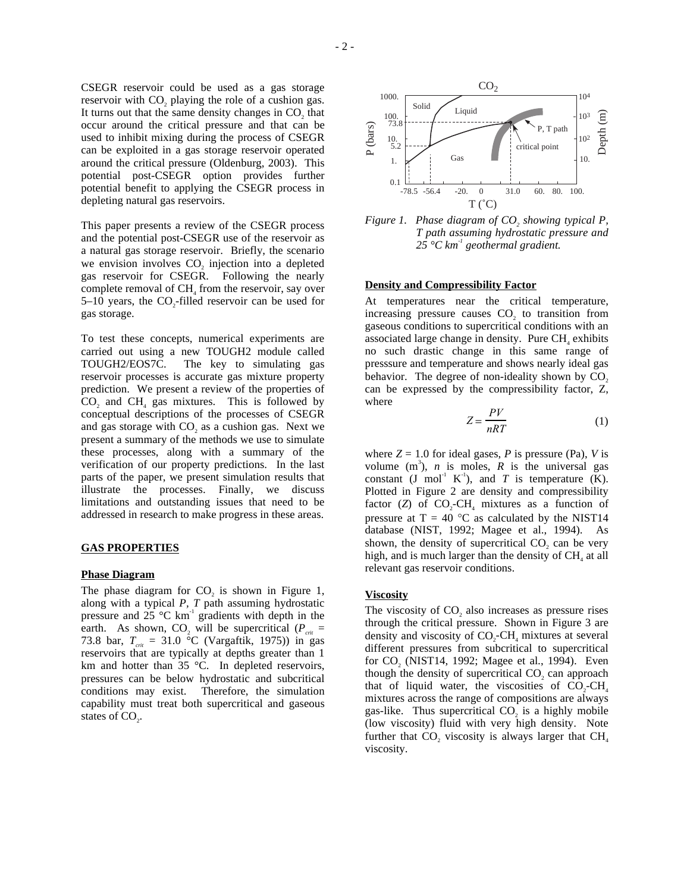CSEGR reservoir could be used as a gas storage reservoir with CO<sub>2</sub> playing the role of a cushion gas. It turns out that the same density changes in CO<sub>2</sub> that occur around the critical pressure and that can be used to inhibit mixing during the process of CSEGR can be exploited in a gas storage reservoir operated around the critical pressure (Oldenburg, 2003). This potential post-CSEGR option provides further potential benefit to applying the CSEGR process in depleting natural gas reservoirs.

This paper presents a review of the CSEGR process and the potential post-CSEGR use of the reservoir as a natural gas storage reservoir. Briefly, the scenario we envision involves CO<sub>2</sub> injection into a depleted gas reservoir for CSEGR. Following the nearly complete removal of CH<sub>4</sub> from the reservoir, say over  $5-10$  years, the CO<sub>2</sub>-filled reservoir can be used for gas storage.

To test these concepts, numerical experiments are carried out using a new TOUGH2 module called TOUGH2/EOS7C. The key to simulating gas reservoir processes is accurate gas mixture property prediction. We present a review of the properties of  $CO$ , and  $CH<sub>4</sub>$  gas mixtures. This is followed by conceptual descriptions of the processes of CSEGR and gas storage with CO<sub>2</sub> as a cushion gas. Next we present a summary of the methods we use to simulate these processes, along with a summary of the verification of our property predictions. In the last parts of the paper, we present simulation results that illustrate the processes. Finally, we discuss limitations and outstanding issues that need to be addressed in research to make progress in these areas.

### **GAS PROPERTIES**

# **Phase Diagram**

The phase diagram for  $CO<sub>2</sub>$  is shown in Figure 1, along with a typical *P, T* path assuming hydrostatic pressure and 25  $^{\circ}$ C km<sup>-1</sup> gradients with depth in the earth. As shown, CO<sub>2</sub> will be supercritical ( $P_{crit}$  = 73.8 bar,  $T_{\text{crit}} = 31.0 \text{ °C}$  (Vargaftik, 1975)) in gas reservoirs that are typically at depths greater than 1 km and hotter than 35 °C. In depleted reservoirs, pressures can be below hydrostatic and subcritical conditions may exist. Therefore, the simulation capability must treat both supercritical and gaseous states of CO<sub>2</sub>.



*Figure 1. Phase diagram of CO<sub>2</sub> showing typical P, T path assuming hydrostatic pressure and 25 °C km-1 geothermal gradient.* 

### **Density and Compressibility Factor**

At temperatures near the critical temperature, increasing pressure causes  $CO<sub>2</sub>$  to transition from gaseous conditions to supercritical conditions with an associated large change in density. Pure CH<sub>4</sub> exhibits no such drastic change in this same range of presssure and temperature and shows nearly ideal gas behavior. The degree of non-ideality shown by  $CO<sub>2</sub>$ can be expressed by the compressibility factor, Z, where

$$
Z = \frac{PV}{nRT} \tag{1}
$$

where  $Z = 1.0$  for ideal gases, *P* is pressure (Pa), *V* is volume  $(m^3)$ , *n* is moles, *R* is the universal gas constant (J mol<sup>-1</sup> K<sup>-1</sup>), and *T* is temperature (K). Plotted in Figure 2 are density and compressibility factor  $(Z)$  of  $CO<sub>z</sub>-CH<sub>4</sub>$  mixtures as a function of pressure at  $T = 40$  °C as calculated by the NIST14 database (NIST, 1992; Magee et al., 1994). As shown, the density of supercritical CO<sub>2</sub> can be very high, and is much larger than the density of CH<sub>4</sub> at all relevant gas reservoir conditions.

#### **Viscosity**

The viscosity of CO<sub>2</sub> also increases as pressure rises through the critical pressure. Shown in Figure 3 are density and viscosity of  $CO<sub>2</sub>-CH<sub>4</sub>$  mixtures at several different pressures from subcritical to supercritical for CO<sub>2</sub> (NIST14, 1992; Magee et al., 1994). Even though the density of supercritical CO<sub>2</sub> can approach that of liquid water, the viscosities of  $CO<sub>2</sub>-CH<sub>4</sub>$ mixtures across the range of compositions are always gas-like. Thus supercritical  $CO<sub>2</sub>$  is a highly mobile (low viscosity) fluid with very high density. Note further that CO<sub>2</sub> viscosity is always larger that  $CH<sub>4</sub>$ viscosity.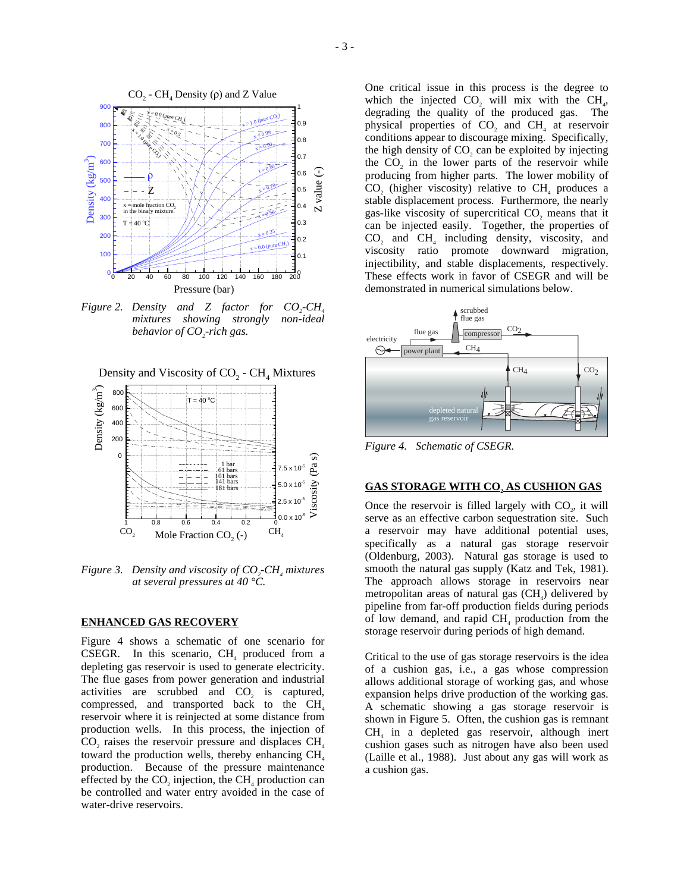

*Figure 2. Density and Z factor for CO<sub>2</sub>-CH<sub>4</sub> mixtures showing strongly non-ideal behavior of CO2 -rich gas.* 

Density and Viscosity of  $CO<sub>2</sub>$  -  $CH<sub>4</sub>$  Mixtures



*Figure 3. Density and viscosity of CO<sub>2</sub>-CH<sub>4</sub> mixtures at several pressures at 40 °C.* 

#### **ENHANCED GAS RECOVERY**

Figure 4 shows a schematic of one scenario for CSEGR. In this scenario,  $CH<sub>4</sub>$  produced from a depleting gas reservoir is used to generate electricity. The flue gases from power generation and industrial activities are scrubbed and CO<sub>2</sub> is captured, compressed, and transported back to the  $CH<sub>4</sub>$ reservoir where it is reinjected at some distance from production wells. In this process, the injection of CO<sub>2</sub> raises the reservoir pressure and displaces  $CH<sub>4</sub>$ toward the production wells, thereby enhancing  $CH<sub>4</sub>$ production. Because of the pressure maintenance effected by the  $CO$ , injection, the  $CH<sub>4</sub>$  production can be controlled and water entry avoided in the case of water-drive reservoirs.

One critical issue in this process is the degree to which the injected CO<sub>2</sub> will mix with the  $CH<sub>4</sub>$ , degrading the quality of the produced gas. The physical properties of CO<sub>2</sub> and CH<sub>4</sub> at reservoir conditions appear to discourage mixing. Specifically, the high density of  $CO$ , can be exploited by injecting the CO<sub>2</sub> in the lower parts of the reservoir while producing from higher parts. The lower mobility of CO<sub>2</sub> (higher viscosity) relative to  $CH<sub>4</sub>$  produces a stable displacement process. Furthermore, the nearly gas-like viscosity of supercritical CO<sub>2</sub> means that it can be injected easily. Together, the properties of  $CO$ <sub>2</sub> and  $CH<sub>4</sub>$  including density, viscosity, and viscosity ratio promote downward migration, injectibility, and stable displacements, respectively. These effects work in favor of CSEGR and will be demonstrated in numerical simulations below.



*Figure 4. Schematic of CSEGR.* 

## **GAS STORAGE WITH CO, AS CUSHION GAS**

Once the reservoir is filled largely with  $CO<sub>2</sub>$ , it will serve as an effective carbon sequestration site. Such a reservoir may have additional potential uses, specifically as a natural gas storage reservoir (Oldenburg, 2003). Natural gas storage is used to smooth the natural gas supply (Katz and Tek, 1981). The approach allows storage in reservoirs near metropolitan areas of natural gas  $(CH<sub>4</sub>)$  delivered by pipeline from far-off production fields during periods of low demand, and rapid  $CH<sub>4</sub>$  production from the storage reservoir during periods of high demand.

Critical to the use of gas storage reservoirs is the idea of a cushion gas, i.e., a gas whose compression allows additional storage of working gas, and whose expansion helps drive production of the working gas. A schematic showing a gas storage reservoir is shown in Figure 5. Often, the cushion gas is remnant  $CH<sub>4</sub>$  in a depleted gas reservoir, although inert cushion gases such as nitrogen have also been used (Laille et al., 1988). Just about any gas will work as a cushion gas.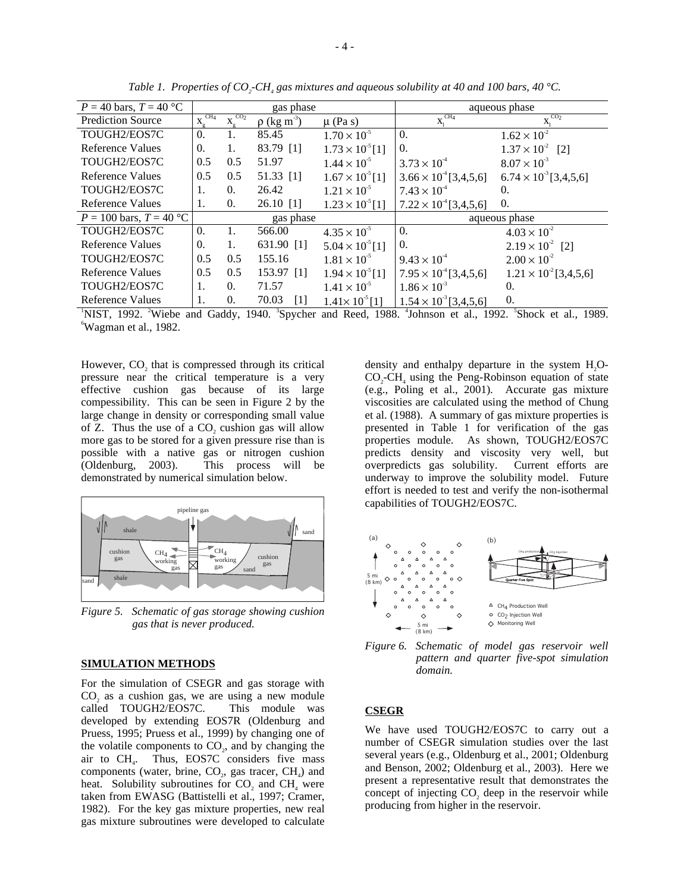| $P = 40$ bars, $T = 40$ °C  | gas phase                       |                                 |                              |                          | aqueous phase                  |                                                                                                                                                                       |
|-----------------------------|---------------------------------|---------------------------------|------------------------------|--------------------------|--------------------------------|-----------------------------------------------------------------------------------------------------------------------------------------------------------------------|
| <b>Prediction Source</b>    | CH <sub>4</sub><br>$X_{\sigma}$ | CO <sub>2</sub><br>$X_{\alpha}$ | $\rho$ (kg m <sup>-3</sup> ) | $\mu$ (Pa s)             | CH <sub>4</sub><br>$X_i$       | CO <sub>2</sub><br>Х.                                                                                                                                                 |
| TOUGH2/EOS7C                | $\Omega$ .                      | 1.                              | 85.45                        | $1.70 \times 10^{-5}$    | $\Omega$ .                     | $1.62 \times 10^{-2}$                                                                                                                                                 |
| <b>Reference Values</b>     | 0.                              | 1.                              | 83.79 [1]                    | $1.73 \times 10^{5}$ [1] | 0.                             | $1.37 \times 10^{-2}$<br>$\lceil 2 \rceil$                                                                                                                            |
| TOUGH2/EOS7C                | 0.5                             | $0.5^{\circ}$                   | 51.97                        | $1.44 \times 10^{-5}$    | $3.73 \times 10^{4}$           | $8.07 \times 10^{-3}$                                                                                                                                                 |
| <b>Reference Values</b>     | 0.5                             | 0.5                             | $51.33$ [1]                  | $1.67 \times 10^{5}$ [1] | $3.66 \times 10^{4}$ [3,4,5,6] | $6.74 \times 10^{3}$ [3,4,5,6]                                                                                                                                        |
| TOUGH2/EOS7C                | 1.                              | $\Omega$ .                      | 26.42                        | $1.21 \times 10^{-5}$    | $7.43 \times 10^{4}$           | $\Omega$ .                                                                                                                                                            |
| <b>Reference Values</b>     | 1.                              | 0.                              | $26.10$ [1]                  | $1.23 \times 10^{5}$ [1] | $7.22 \times 10^4$ [3,4,5,6]   | 0.                                                                                                                                                                    |
| $P = 100$ bars, $T = 40$ °C | gas phase                       |                                 | aqueous phase                |                          |                                |                                                                                                                                                                       |
|                             |                                 |                                 | 566.00                       |                          | $\Omega$ .                     |                                                                                                                                                                       |
| TOUGH2/EOS7C                | $\Omega$ .                      | 1.                              |                              | $4.35 \times 10^{-5}$    |                                | $4.03 \times 10^{-2}$                                                                                                                                                 |
| <b>Reference Values</b>     | 0.                              | 1.                              | 631.90 [1]                   | $5.04 \times 10^{5}$ [1] | 0.                             | $2.19 \times 10^{2}$ [2]                                                                                                                                              |
| TOUGH2/EOS7C                | 0.5                             | 0.5                             | 155.16                       | $1.81 \times 10^{-5}$    | $9.43 \times 10^{-4}$          | $2.00 \times 10^{-2}$                                                                                                                                                 |
| Reference Values            | 0.5                             | 0.5                             | 153.97 [1]                   | $1.94 \times 10^{5}$ [1] | $7.95 \times 10^4$ [3,4,5,6]   | $1.21 \times 10^{2}$ [3,4,5,6]                                                                                                                                        |
| TOUGH2/EOS7C                | 1.                              | $\Omega$ .                      | 71.57                        | $1.41 \times 10^{-5}$    | $1.86 \times 10^{-3}$          | $\Omega$ .                                                                                                                                                            |
| <b>Reference Values</b>     | 1.                              | $\Omega$ .                      | 70.03<br>$\lceil 1 \rceil$   | $1.41 \times 10^{5}$ [1] | $1.54 \times 10^{3}$ [3,4,5,6] | 0.                                                                                                                                                                    |
|                             |                                 |                                 |                              |                          |                                | <sup>1</sup> NIST, 1992. <sup>2</sup> Wiebe and Gaddy, 1940. <sup>3</sup> Spycher and Reed, 1988. <sup>4</sup> Johnson et al., 1992. <sup>5</sup> Shock et al., 1989. |

*Table 1. Properties of CO<sub>2</sub>-CH<sub>4</sub> gas mixtures and aqueous solubility at 40 and 100 bars, 40 °C.* 

Wagman et al., 1982.

However, CO<sub>2</sub> that is compressed through its critical pressure near the critical temperature is a very effective cushion gas because of its large compessibility. This can be seen in Figure 2 by the large change in density or corresponding small value of  $Z$ . Thus the use of a  $CO<sub>2</sub>$ , cushion gas will allow more gas to be stored for a given pressure rise than is possible with a native gas or nitrogen cushion (Oldenburg, 2003). This process will be demonstrated by numerical simulation below.



*Figure 5. Schematic of gas storage showing cushion gas that is never produced.* 

## **SIMULATION METHODS**

For the simulation of CSEGR and gas storage with  $CO<sub>2</sub>$  as a cushion gas, we are using a new module called TOUGH2/EOS7C. This module was called TOUGH2/EOS7C. developed by extending EOS7R (Oldenburg and Pruess, 1995; Pruess et al., 1999) by changing one of the volatile components to  $CO<sub>2</sub>$ , and by changing the air to  $CH<sub>4</sub>$ . Thus, EOS7C considers five mass Thus, EOS7C considers five mass components (water, brine,  $CO<sub>2</sub>$ , gas tracer,  $CH<sub>4</sub>$ ) and heat. Solubility subroutines for  $CO$ , and  $CH<sub>4</sub>$  were taken from EWASG (Battistelli et al., 1997; Cramer, 1982). For the key gas mixture properties, new real gas mixture subroutines were developed to calculate density and enthalpy departure in the system  $H<sub>2</sub>O CO<sub>2</sub>-CH<sub>4</sub>$  using the Peng-Robinson equation of state (e.g., Poling et al., 2001). Accurate gas mixture viscosities are calculated using the method of Chung et al. (1988). A summary of gas mixture properties is presented in Table 1 for verification of the gas properties module. As shown, TOUGH2/EOS7C predicts density and viscosity very well, but overpredicts gas solubility. Current efforts are underway to improve the solubility model. Future effort is needed to test and verify the non-isothermal capabilities of TOUGH2/EOS7C.





# **CSEGR**

We have used TOUGH2/EOS7C to carry out a number of CSEGR simulation studies over the last several years (e.g., Oldenburg et al., 2001; Oldenburg and Benson, 2002; Oldenburg et al., 2003). Here we present a representative result that demonstrates the concept of injecting  $CO<sub>2</sub>$  deep in the reservoir while producing from higher in the reservoir.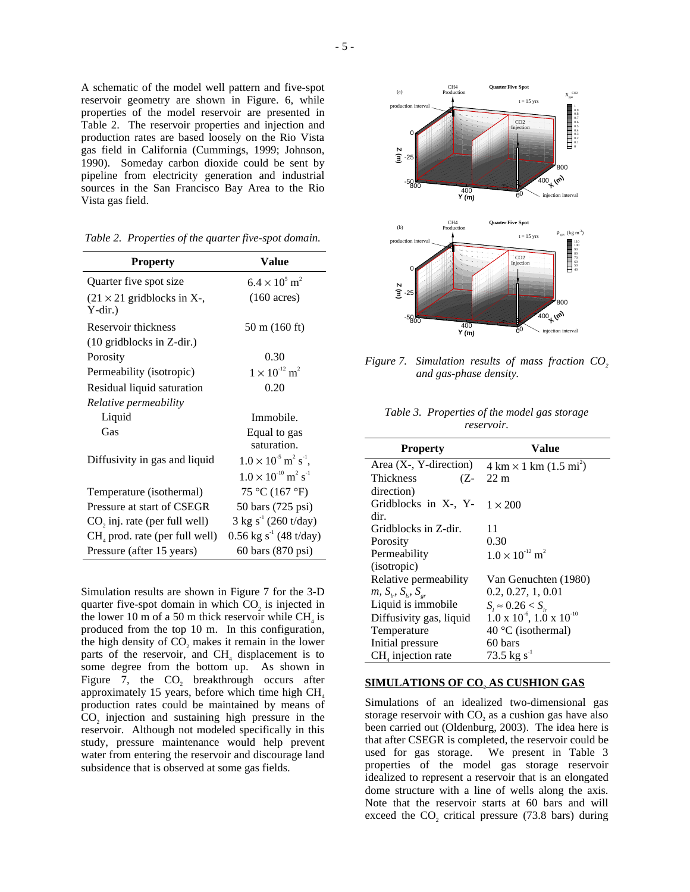A schematic of the model well pattern and five-spot reservoir geometry are shown in Figure. 6, while properties of the model reservoir are presented in Table 2. The reservoir properties and injection and production rates are based loosely on the Rio Vista gas field in California (Cummings, 1999; Johnson, 1990). Someday carbon dioxide could be sent by pipeline from electricity generation and industrial sources in the San Francisco Bay Area to the Rio Vista gas field.

| <b>Property</b>                                 | <b>Value</b>                                         |
|-------------------------------------------------|------------------------------------------------------|
| Quarter five spot size                          | $6.4 \times 10^5$ m <sup>2</sup>                     |
| $(21 \times 21$ gridblocks in X-,<br>$Y$ -dir.) | $(160 \text{ acres})$                                |
| Reservoir thickness                             | 50 m (160 ft)                                        |
| (10 gridblocks in Z-dir.)                       |                                                      |
| Porosity                                        | 0.30                                                 |
| Permeability (isotropic)                        | $1 \times 10^{-12}$ m <sup>2</sup>                   |
| Residual liquid saturation                      | 0.20                                                 |
| Relative permeability                           |                                                      |
| Liquid                                          | Immobile.                                            |
| Gas                                             | Equal to gas                                         |
|                                                 | saturation.                                          |
| Diffusivity in gas and liquid                   | $1.0 \times 10^{5}$ m <sup>2</sup> s <sup>-1</sup> , |
|                                                 | $1.0 \times 10^{-10}$ m <sup>2</sup> s <sup>-1</sup> |
| Temperature (isothermal)                        | 75 °C (167 °F)                                       |
| Pressure at start of CSEGR                      | 50 bars (725 psi)                                    |
| CO, inj. rate (per full well)                   | $3 \text{ kg s}^{-1}$ (260 t/day)                    |
| $CHa$ prod. rate (per full well)                | $0.56 \text{ kg s}^{-1}$ (48 t/day)                  |
| Pressure (after 15 years)                       | 60 bars (870 psi)                                    |

*Table 2. Properties of the quarter five-spot domain.* 

Simulation results are shown in Figure 7 for the 3-D quarter five-spot domain in which CO<sub>2</sub> is injected in the lower 10 m of a 50 m thick reservoir while  $CH<sub>4</sub>$  is produced from the top 10 m. In this configuration, the high density of CO<sub>2</sub> makes it remain in the lower parts of the reservoir, and  $CH<sub>4</sub>$  displacement is to some degree from the bottom up. As shown in Figure 7, the  $CO$ , breakthrough occurs after approximately 15 years, before which time high  $CH<sub>4</sub>$ production rates could be maintained by means of CO<sub>2</sub> injection and sustaining high pressure in the reservoir. Although not modeled specifically in this study, pressure maintenance would help prevent water from entering the reservoir and discourage land subsidence that is observed at some gas fields.



*Figure 7. Simulation results of mass fraction CO<sub>2</sub> and gas-phase density.* 

*Table 3. Properties of the model gas storage reservoir.* 

| <b>Property</b>                                 | Value                                                 |
|-------------------------------------------------|-------------------------------------------------------|
| Area $(X - Y -$ direction                       | $4 \text{ km} \times 1 \text{ km} (1.5 \text{ mi}^2)$ |
| Thickness<br>(Z-                                | $22 \text{ m}$                                        |
| direction)                                      |                                                       |
| Gridblocks in X-, Y-                            | $1 \times 200$                                        |
| dir.                                            |                                                       |
| Gridblocks in Z-dir.                            | 11                                                    |
| Porosity                                        | 0.30                                                  |
| Permeability                                    | $1.0 \times 10^{-12}$ m <sup>2</sup>                  |
| (isotropic)                                     |                                                       |
| Relative permeability                           | Van Genuchten (1980)                                  |
| <i>m</i> , $S_{l_r}$ , $S_{l_s}$ , $S_{l_{sr}}$ | 0.2, 0.27, 1, 0.01                                    |
| Liquid is immobile.                             | $S_i \approx 0.26 < S_{i_r}$                          |
| Diffusivity gas, liquid                         | $1.0 \times 10^{-6}$ , $1.0 \times 10^{-10}$          |
| Temperature                                     | 40 °C (isothermal)                                    |
| Initial pressure                                | 60 bars                                               |
| $CHa$ injection rate                            | $73.5 \text{ kg s}^{-1}$                              |

### **SIMULATIONS OF CO, AS CUSHION GAS**

Simulations of an idealized two-dimensional gas storage reservoir with CO<sub>2</sub> as a cushion gas have also been carried out (Oldenburg, 2003). The idea here is that after CSEGR is completed, the reservoir could be used for gas storage. We present in Table 3 properties of the model gas storage reservoir idealized to represent a reservoir that is an elongated dome structure with a line of wells along the axis. Note that the reservoir starts at 60 bars and will exceed the  $CO$ , critical pressure  $(73.8 \text{ bars})$  during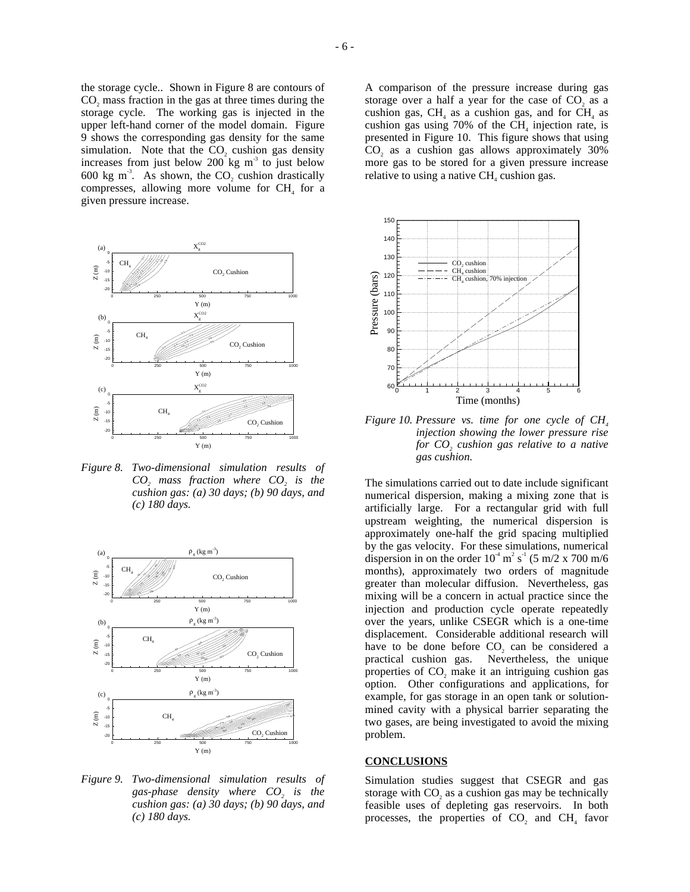the storage cycle.. Shown in Figure 8 are contours of CO<sub>2</sub> mass fraction in the gas at three times during the storage cycle. The working gas is injected in the upper left-hand corner of the model domain. Figure 9 shows the corresponding gas density for the same simulation. Note that the CO<sub>2</sub> cushion gas density increases from just below 200 kg  $m<sup>3</sup>$  to just below 600 kg m<sup>-3</sup>. As shown, the CO<sub>2</sub> cushion drastically compresses, allowing more volume for  $CH<sub>4</sub>$  for a given pressure increase.



*Figure 8. Two-dimensional simulation results of CO2 mass fraction where CO2 is the cushion gas: (a) 30 days; (b) 90 days, and (c) 180 days.* 



*Figure 9. Two-dimensional simulation results of*  gas-phase density where  $CO<sub>2</sub>$  is the *cushion gas: (a) 30 days; (b) 90 days, and (c) 180 days.* 

A comparison of the pressure increase during gas storage over a half a year for the case of CO<sub>2</sub> as a cushion gas,  $CH<sub>4</sub>$  as a cushion gas, and for  $CH<sub>4</sub>$  as cushion gas using  $70\%$  of the CH<sub>4</sub> injection rate, is presented in Figure 10. This figure shows that using CO<sub>2</sub> as a cushion gas allows approximately 30% more gas to be stored for a given pressure increase relative to using a native CH<sub>4</sub> cushion gas.



*Figure 10. Pressure vs. time for one cycle of CH*<sub>4</sub> *injection showing the lower pressure rise for CO<sub>2</sub> cushion gas relative to a native gas cushion.* 

The simulations carried out to date include significant numerical dispersion, making a mixing zone that is artificially large. For a rectangular grid with full upstream weighting, the numerical dispersion is approximately one-half the grid spacing multiplied by the gas velocity. For these simulations, numerical dispersion in on the order  $10^4$  m<sup>2</sup> s<sup>-1</sup> (5 m/2 x 700 m/6 months), approximately two orders of magnitude greater than molecular diffusion. Nevertheless, gas mixing will be a concern in actual practice since the injection and production cycle operate repeatedly over the years, unlike CSEGR which is a one-time displacement. Considerable additional research will have to be done before CO<sub>2</sub> can be considered a practical cushion gas. Nevertheless, the unique properties of CO<sub>2</sub> make it an intriguing cushion gas option. Other configurations and applications, for example, for gas storage in an open tank or solutionmined cavity with a physical barrier separating the two gases, are being investigated to avoid the mixing problem.

#### **CONCLUSIONS**

Simulation studies suggest that CSEGR and gas storage with CO<sub>2</sub> as a cushion gas may be technically feasible uses of depleting gas reservoirs. In both processes, the properties of  $CO$ , and  $CH<sub>4</sub>$  favor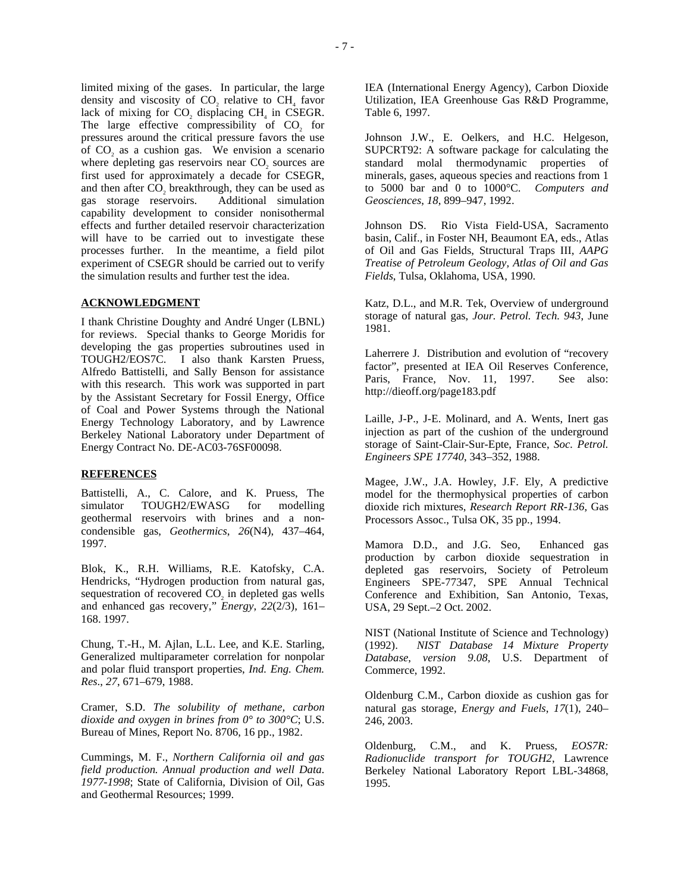limited mixing of the gases. In particular, the large density and viscosity of  $CO<sub>2</sub>$  relative to  $CH<sub>4</sub>$  favor lack of mixing for CO<sub>2</sub> displacing  $CH<sub>4</sub>$  in CSEGR. The large effective compressibility of CO<sub>2</sub> for pressures around the critical pressure favors the use of CO<sub>2</sub> as a cushion gas. We envision a scenario where depleting gas reservoirs near CO<sub>2</sub> sources are first used for approximately a decade for CSEGR, and then after  $CO<sub>2</sub>$  breakthrough, they can be used as gas storage reservoirs. Additional simulation gas storage reservoirs. capability development to consider nonisothermal effects and further detailed reservoir characterization will have to be carried out to investigate these processes further. In the meantime, a field pilot experiment of CSEGR should be carried out to verify the simulation results and further test the idea.

# **ACKNOWLEDGMENT**

I thank Christine Doughty and André Unger (LBNL) for reviews. Special thanks to George Moridis for developing the gas properties subroutines used in TOUGH2/EOS7C. I also thank Karsten Pruess, Alfredo Battistelli, and Sally Benson for assistance with this research. This work was supported in part by the Assistant Secretary for Fossil Energy, Office of Coal and Power Systems through the National Energy Technology Laboratory, and by Lawrence Berkeley National Laboratory under Department of Energy Contract No. DE-AC03-76SF00098.

#### **REFERENCES**

Battistelli, A., C. Calore, and K. Pruess, The simulator TOUGH2/EWASG for modelling geothermal reservoirs with brines and a noncondensible gas, *Geothermics*, *26*(N4), 437–464, 1997.

Blok, K., R.H. Williams, R.E. Katofsky, C.A. Hendricks, "Hydrogen production from natural gas, sequestration of recovered CO<sub>2</sub> in depleted gas wells and enhanced gas recovery," *Energy*, *22*(2/3), 161– 168. 1997.

Chung, T.-H., M. Ajlan, L.L. Lee, and K.E. Starling, Generalized multiparameter correlation for nonpolar and polar fluid transport properties, *Ind. Eng. Chem. Res*., *27*, 671–679, 1988.

Cramer, S.D. *The solubility of methane, carbon dioxide and oxygen in brines from 0° to 300°C*; U.S. Bureau of Mines, Report No. 8706, 16 pp., 1982.

Cummings, M. F., *Northern California oil and gas field production. Annual production and well Data. 1977-1998*; State of California, Division of Oil, Gas and Geothermal Resources; 1999.

IEA (International Energy Agency), Carbon Dioxide Utilization, IEA Greenhouse Gas R&D Programme, Table 6, 1997.

Johnson J.W., E. Oelkers, and H.C. Helgeson, SUPCRT92: A software package for calculating the standard molal thermodynamic properties of minerals, gases, aqueous species and reactions from 1 to 5000 bar and 0 to 1000°C. *Computers and Geosciences*, *18*, 899–947, 1992.

Johnson DS. Rio Vista Field-USA, Sacramento basin, Calif., in Foster NH, Beaumont EA, eds., Atlas of Oil and Gas Fields, Structural Traps III, *AAPG Treatise of Petroleum Geology, Atlas of Oil and Gas Fields*, Tulsa, Oklahoma, USA, 1990.

Katz, D.L., and M.R. Tek, Overview of underground storage of natural gas, *Jour. Petrol. Tech. 943*, June 1981.

Laherrere J. Distribution and evolution of "recovery factor", presented at IEA Oil Reserves Conference, Paris, France, Nov. 11, 1997. See also: http://dieoff.org/page183.pdf

Laille, J-P., J-E. Molinard, and A. Wents, Inert gas injection as part of the cushion of the underground storage of Saint-Clair-Sur-Epte, France, *Soc. Petrol. Engineers SPE 17740*, 343–352, 1988.

Magee, J.W., J.A. Howley, J.F. Ely, A predictive model for the thermophysical properties of carbon dioxide rich mixtures, *Research Report RR-136*, Gas Processors Assoc., Tulsa OK, 35 pp., 1994.

Mamora D.D., and J.G. Seo, Enhanced gas production by carbon dioxide sequestration in depleted gas reservoirs, Society of Petroleum Engineers SPE-77347, SPE Annual Technical Conference and Exhibition, San Antonio, Texas, USA, 29 Sept.–2 Oct. 2002.

NIST (National Institute of Science and Technology) (1992). *NIST Database 14 Mixture Property Database*, *version 9.08*, U.S. Department of Commerce, 1992.

Oldenburg C.M., Carbon dioxide as cushion gas for natural gas storage, *Energy and Fuels*, *17*(1), 240– 246, 2003.

Oldenburg, C.M., and K. Pruess, *EOS7R: Radionuclide transport for TOUGH2*, Lawrence Berkeley National Laboratory Report LBL-34868, 1995.